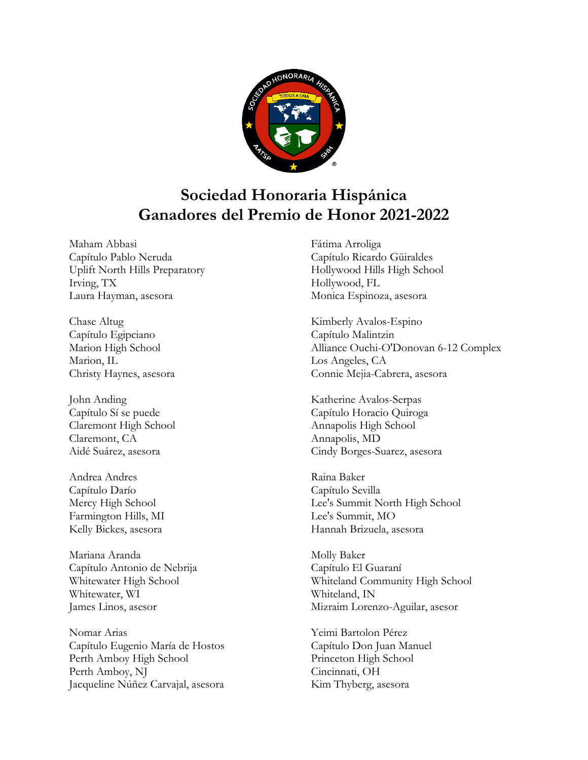

## **Sociedad Honoraria Hispánica Ganadores del Premio de Honor 2021-2022**

Maham Abbasi Capítulo Pablo Neruda Uplift North Hills Preparatory Irving, TX Laura Hayman, asesora

Chase Altug Capítulo Egipciano Marion High School Marion, IL Christy Haynes, asesora

John Anding Capítulo Sí se puede Claremont High School Claremont, CA Aidé Suárez, asesora

Andrea Andres Capítulo Darío Mercy High School Farmington Hills, MI Kelly Bickes, asesora

Mariana Aranda Capítulo Antonio de Nebrija Whitewater High School Whitewater, WI James Linos, asesor

Nomar Arias Capítulo Eugenio María de Hostos Perth Amboy High School Perth Amboy, NJ Jacqueline Núñez Carvajal, asesora Fátima Arroliga Capítulo Ricardo Güiraldes Hollywood Hills High School Hollywood, FL Monica Espinoza, asesora

Kimberly Avalos-Espino Capítulo Malintzin Alliance Ouchi-O'Donovan 6-12 Complex Los Angeles, CA Connie Mejia-Cabrera, asesora

Katherine Avalos-Serpas Capítulo Horacio Quiroga Annapolis High School Annapolis, MD Cindy Borges-Suarez, asesora

Raina Baker Capítulo Sevilla Lee's Summit North High School Lee's Summit, MO Hannah Brizuela, asesora

Molly Baker Capítulo El Guaraní Whiteland Community High School Whiteland, IN Mizraim Lorenzo-Aguilar, asesor

Yeimi Bartolon Pérez Capítulo Don Juan Manuel Princeton High School Cincinnati, OH Kim Thyberg, asesora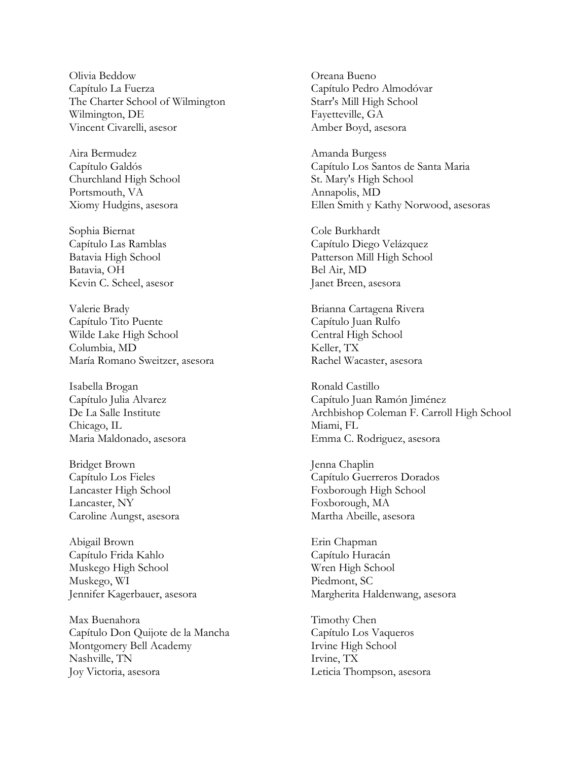Olivia Beddow Capítulo La Fuerza The Charter School of Wilmington Wilmington, DE Vincent Civarelli, asesor

Aira Bermudez Capítulo Galdós Churchland High School Portsmouth, VA Xiomy Hudgins, asesora

Sophia Biernat Capítulo Las Ramblas Batavia High School Batavia, OH Kevin C. Scheel, asesor

Valerie Brady Capítulo Tito Puente Wilde Lake High School Columbia, MD María Romano Sweitzer, asesora

Isabella Brogan Capítulo Julia Alvarez De La Salle Institute Chicago, IL Maria Maldonado, asesora

Bridget Brown Capítulo Los Fieles Lancaster High School Lancaster, NY Caroline Aungst, asesora

Abigail Brown Capítulo Frida Kahlo Muskego High School Muskego, WI Jennifer Kagerbauer, asesora

Max Buenahora Capítulo Don Quijote de la Mancha Montgomery Bell Academy Nashville, TN Joy Victoria, asesora

Oreana Bueno Capítulo Pedro Almodóvar Starr's Mill High School Fayetteville, GA Amber Boyd, asesora

Amanda Burgess Capítulo Los Santos de Santa Maria St. Mary's High School Annapolis, MD Ellen Smith y Kathy Norwood, asesoras

Cole Burkhardt Capítulo Diego Velázquez Patterson Mill High School Bel Air, MD Janet Breen, asesora

Brianna Cartagena Rivera Capítulo Juan Rulfo Central High School Keller, TX Rachel Wacaster, asesora

Ronald Castillo Capítulo Juan Ramón Jiménez Archbishop Coleman F. Carroll High School Miami, FL Emma C. Rodriguez, asesora

Jenna Chaplin Capítulo Guerreros Dorados Foxborough High School Foxborough, MA Martha Abeille, asesora

Erin Chapman Capítulo Huracán Wren High School Piedmont, SC Margherita Haldenwang, asesora

Timothy Chen Capítulo Los Vaqueros Irvine High School Irvine, TX Leticia Thompson, asesora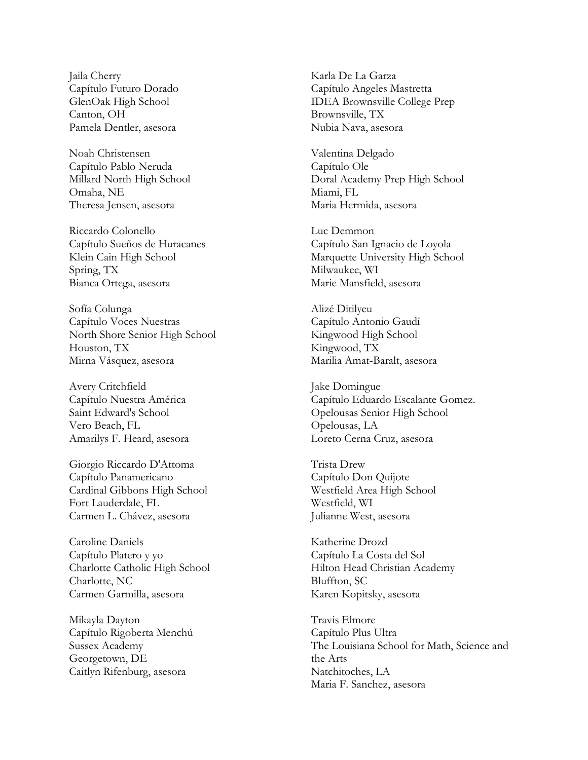Jaila Cherry Capítulo Futuro Dorado GlenOak High School Canton, OH Pamela Dentler, asesora

Noah Christensen Capítulo Pablo Neruda Millard North High School Omaha, NE Theresa Jensen, asesora

Riccardo Colonello Capítulo Sueños de Huracanes Klein Cain High School Spring, TX Bianca Ortega, asesora

Sofía Colunga Capítulo Voces Nuestras North Shore Senior High School Houston, TX Mirna Vásquez, asesora

Avery Critchfield Capítulo Nuestra América Saint Edward's School Vero Beach, FL Amarilys F. Heard, asesora

Giorgio Riccardo D'Attoma Capítulo Panamericano Cardinal Gibbons High School Fort Lauderdale, FL Carmen L. Chávez, asesora

Caroline Daniels Capítulo Platero y yo Charlotte Catholic High School Charlotte, NC Carmen Garmilla, asesora

Mikayla Dayton Capítulo Rigoberta Menchú Sussex Academy Georgetown, DE Caitlyn Rifenburg, asesora

Karla De La Garza Capítulo Angeles Mastretta IDEA Brownsville College Prep Brownsville, TX Nubia Nava, asesora

Valentina Delgado Capítulo Ole Doral Academy Prep High School Miami, FL Maria Hermida, asesora

Luc Demmon Capítulo San Ignacio de Loyola Marquette University High School Milwaukee, WI Marie Mansfield, asesora

Alizé Ditilyeu Capítulo Antonio Gaudí Kingwood High School Kingwood, TX Marilia Amat-Baralt, asesora

Jake Domingue Capítulo Eduardo Escalante Gomez. Opelousas Senior High School Opelousas, LA Loreto Cerna Cruz, asesora

Trista Drew Capítulo Don Quijote Westfield Area High School Westfield, WI Julianne West, asesora

Katherine Drozd Capítulo La Costa del Sol Hilton Head Christian Academy Bluffton, SC Karen Kopitsky, asesora

Travis Elmore Capítulo Plus Ultra The Louisiana School for Math, Science and the Arts Natchitoches, LA Maria F. Sanchez, asesora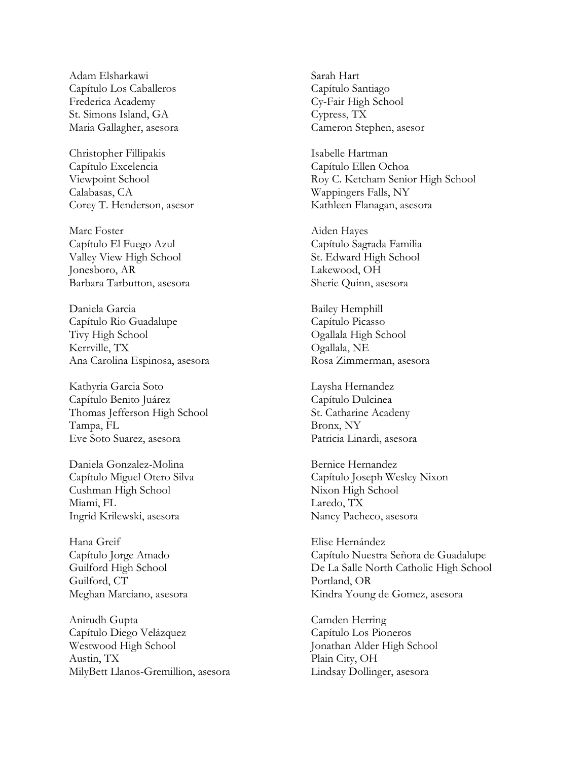Adam Elsharkawi Capítulo Los Caballeros Frederica Academy St. Simons Island, GA Maria Gallagher, asesora

Christopher Fillipakis Capítulo Excelencia Viewpoint School Calabasas, CA Corey T. Henderson, asesor

Marc Foster Capítulo El Fuego Azul Valley View High School Jonesboro, AR Barbara Tarbutton, asesora

Daniela Garcia Capítulo Rio Guadalupe Tivy High School Kerrville, TX Ana Carolina Espinosa, asesora

Kathyria Garcia Soto Capítulo Benito Juárez Thomas Jefferson High School Tampa, FL Eve Soto Suarez, asesora

Daniela Gonzalez-Molina Capítulo Miguel Otero Silva Cushman High School Miami, FL Ingrid Krilewski, asesora

Hana Greif Capítulo Jorge Amado Guilford High School Guilford, CT Meghan Marciano, asesora

Anirudh Gupta Capítulo Diego Velázquez Westwood High School Austin, TX MilyBett Llanos-Gremillion, asesora Sarah Hart Capítulo Santiago Cy-Fair High School Cypress, TX Cameron Stephen, asesor

Isabelle Hartman Capítulo Ellen Ochoa Roy C. Ketcham Senior High School Wappingers Falls, NY Kathleen Flanagan, asesora

Aiden Hayes Capítulo Sagrada Familia St. Edward High School Lakewood, OH Sherie Quinn, asesora

Bailey Hemphill Capítulo Picasso Ogallala High School Ogallala, NE Rosa Zimmerman, asesora

Laysha Hernandez Capítulo Dulcinea St. Catharine Acadeny Bronx, NY Patricia Linardi, asesora

Bernice Hernandez Capítulo Joseph Wesley Nixon Nixon High School Laredo, TX Nancy Pacheco, asesora

Elise Hernández Capítulo Nuestra Señora de Guadalupe De La Salle North Catholic High School Portland, OR Kindra Young de Gomez, asesora

Camden Herring Capítulo Los Pioneros Jonathan Alder High School Plain City, OH Lindsay Dollinger, asesora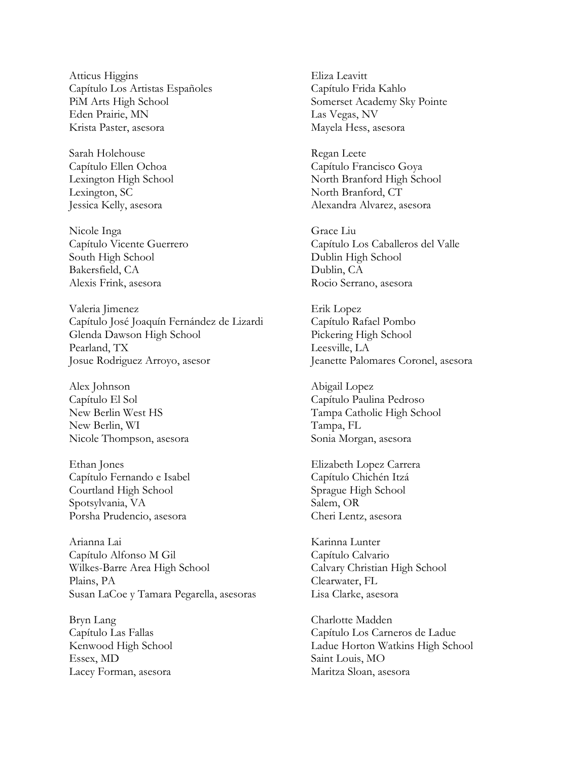Atticus Higgins Capítulo Los Artistas Españoles PiM Arts High School Eden Prairie, MN Krista Paster, asesora

Sarah Holehouse Capítulo Ellen Ochoa Lexington High School Lexington, SC Jessica Kelly, asesora

Nicole Inga Capítulo Vicente Guerrero South High School Bakersfield, CA Alexis Frink, asesora

Valeria Jimenez Capítulo José Joaquín Fernández de Lizardi Glenda Dawson High School Pearland, TX Josue Rodriguez Arroyo, asesor

Alex Johnson Capítulo El Sol New Berlin West HS New Berlin, WI Nicole Thompson, asesora

Ethan Jones Capítulo Fernando e Isabel Courtland High School Spotsylvania, VA Porsha Prudencio, asesora

Arianna Lai Capítulo Alfonso M Gil Wilkes-Barre Area High School Plains, PA Susan LaCoe y Tamara Pegarella, asesoras

Bryn Lang Capítulo Las Fallas Kenwood High School Essex, MD Lacey Forman, asesora

Eliza Leavitt Capítulo Frida Kahlo Somerset Academy Sky Pointe Las Vegas, NV Mayela Hess, asesora

Regan Leete Capítulo Francisco Goya North Branford High School North Branford, CT Alexandra Alvarez, asesora

Grace Liu Capítulo Los Caballeros del Valle Dublin High School Dublin, CA Rocio Serrano, asesora

Erik Lopez Capítulo Rafael Pombo Pickering High School Leesville, LA Jeanette Palomares Coronel, asesora

Abigail Lopez Capítulo Paulina Pedroso Tampa Catholic High School Tampa, FL Sonia Morgan, asesora

Elizabeth Lopez Carrera Capítulo Chichén Itzá Sprague High School Salem, OR Cheri Lentz, asesora

Karinna Lunter Capítulo Calvario Calvary Christian High School Clearwater, FL Lisa Clarke, asesora

Charlotte Madden Capítulo Los Carneros de Ladue Ladue Horton Watkins High School Saint Louis, MO Maritza Sloan, asesora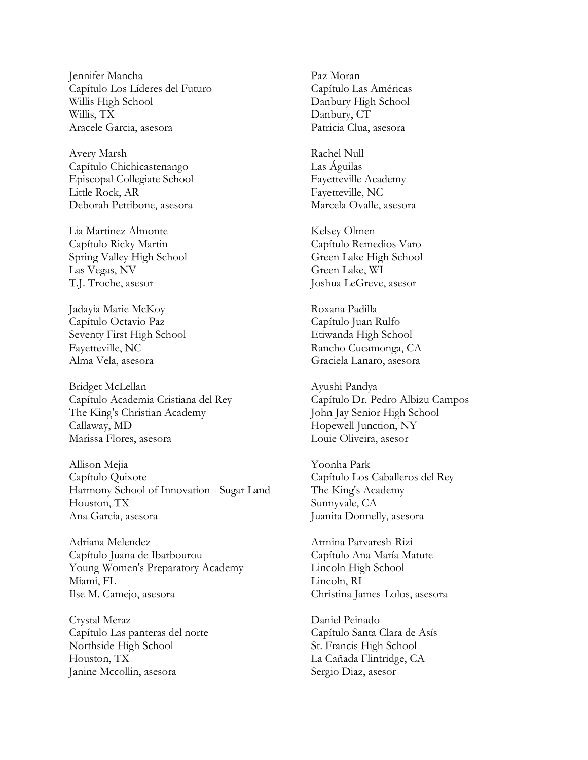Jennifer Mancha Capítulo Los Líderes del Futuro Willis High School Willis, TX Aracele Garcia, asesora

Avery Marsh Capítulo Chichicastenango Episcopal Collegiate School Little Rock, AR Deborah Pettibone, asesora

Lia Martinez Almonte Capítulo Ricky Martin Spring Valley High School Las Vegas, NV T.J. Troche, asesor

Jadayia Marie McKoy Capítulo Octavio Paz Seventy First High School Fayetteville, NC Alma Vela, asesora

Bridget McLellan Capítulo Academia Cristiana del Rey The King's Christian Academy Callaway, MD Marissa Flores, asesora

Allison Mejia Capítulo Quixote Harmony School of Innovation - Sugar Land Houston, TX Ana Garcia, asesora

Adriana Melendez Capítulo Juana de Ibarbourou Young Women's Preparatory Academy Miami, FL Ilse M. Camejo, asesora

Crystal Meraz Capítulo Las panteras del norte Northside High School Houston, TX Janine Mccollin, asesora

Paz Moran Capítulo Las Américas Danbury High School Danbury, CT Patricia Clua, asesora

Rachel Null Las Águilas Fayetteville Academy Fayetteville, NC Marcela Ovalle, asesora

Kelsey Olmen Capítulo Remedios Varo Green Lake High School Green Lake, WI Joshua LeGreve, asesor

Roxana Padilla Capítulo Juan Rulfo Etiwanda High School Rancho Cucamonga, CA Graciela Lanaro, asesora

Ayushi Pandya Capítulo Dr. Pedro Albizu Campos John Jay Senior High School Hopewell Junction, NY Louie Oliveira, asesor

Yoonha Park Capítulo Los Caballeros del Rey The King's Academy Sunnyvale, CA Juanita Donnelly, asesora

Armina Parvaresh-Rizi Capítulo Ana María Matute Lincoln High School Lincoln, RI Christina James-Lolos, asesora

Daniel Peinado Capítulo Santa Clara de Asís St. Francis High School La Cañada Flintridge, CA Sergio Diaz, asesor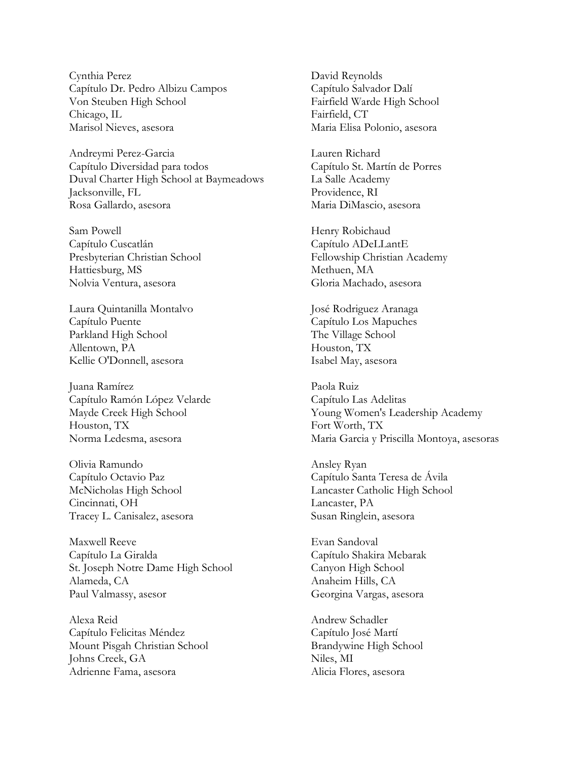Cynthia Perez Capítulo Dr. Pedro Albizu Campos Von Steuben High School Chicago, IL Marisol Nieves, asesora

Andreymi Perez-Garcia Capítulo Diversidad para todos Duval Charter High School at Baymeadows Jacksonville, FL Rosa Gallardo, asesora

Sam Powell Capítulo Cuscatlán Presbyterian Christian School Hattiesburg, MS Nolvia Ventura, asesora

Laura Quintanilla Montalvo Capítulo Puente Parkland High School Allentown, PA Kellie O'Donnell, asesora

Juana Ramírez Capítulo Ramón López Velarde Mayde Creek High School Houston, TX Norma Ledesma, asesora

Olivia Ramundo Capítulo Octavio Paz McNicholas High School Cincinnati, OH Tracey L. Canisalez, asesora

Maxwell Reeve Capítulo La Giralda St. Joseph Notre Dame High School Alameda, CA Paul Valmassy, asesor

Alexa Reid Capítulo Felicitas Méndez Mount Pisgah Christian School Johns Creek, GA Adrienne Fama, asesora

David Reynolds Capítulo Salvador Dalí Fairfield Warde High School Fairfield, CT Maria Elisa Polonio, asesora

Lauren Richard Capítulo St. Martín de Porres La Salle Academy Providence, RI Maria DiMascio, asesora

Henry Robichaud Capítulo ADeLLantE Fellowship Christian Academy Methuen, MA Gloria Machado, asesora

José Rodriguez Aranaga Capítulo Los Mapuches The Village School Houston, TX Isabel May, asesora

Paola Ruiz Capítulo Las Adelitas Young Women's Leadership Academy Fort Worth, TX Maria Garcia y Priscilla Montoya, asesoras

Ansley Ryan Capítulo Santa Teresa de Ávila Lancaster Catholic High School Lancaster, PA Susan Ringlein, asesora

Evan Sandoval Capítulo Shakira Mebarak Canyon High School Anaheim Hills, CA Georgina Vargas, asesora

Andrew Schadler Capítulo José Martí Brandywine High School Niles, MI Alicia Flores, asesora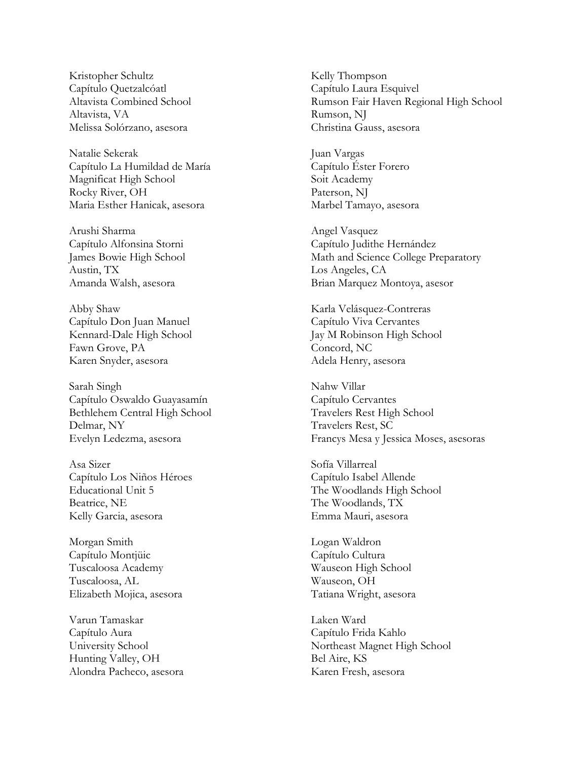Kristopher Schultz Capítulo Quetzalcóatl Altavista Combined School Altavista, VA Melissa Solórzano, asesora

Natalie Sekerak Capítulo La Humildad de María Magnificat High School Rocky River, OH Maria Esther Hanicak, asesora

Arushi Sharma Capítulo Alfonsina Storni James Bowie High School Austin, TX Amanda Walsh, asesora

Abby Shaw Capítulo Don Juan Manuel Kennard-Dale High School Fawn Grove, PA Karen Snyder, asesora

Sarah Singh Capítulo Oswaldo Guayasamín Bethlehem Central High School Delmar, NY Evelyn Ledezma, asesora

Asa Sizer Capítulo Los Niños Héroes Educational Unit 5 Beatrice, NE Kelly Garcia, asesora

Morgan Smith Capítulo Montjüic Tuscaloosa Academy Tuscaloosa, AL Elizabeth Mojica, asesora

Varun Tamaskar Capítulo Aura University School Hunting Valley, OH Alondra Pacheco, asesora Kelly Thompson Capítulo Laura Esquivel Rumson Fair Haven Regional High School Rumson, NJ Christina Gauss, asesora

Juan Vargas Capítulo Éster Forero Soit Academy Paterson, NJ Marbel Tamayo, asesora

Angel Vasquez Capítulo Judithe Hernández Math and Science College Preparatory Los Angeles, CA Brian Marquez Montoya, asesor

Karla Velásquez-Contreras Capítulo Viva Cervantes Jay M Robinson High School Concord, NC Adela Henry, asesora

Nahw Villar Capítulo Cervantes Travelers Rest High School Travelers Rest, SC Francys Mesa y Jessica Moses, asesoras

Sofía Villarreal Capítulo Isabel Allende The Woodlands High School The Woodlands, TX Emma Mauri, asesora

Logan Waldron Capítulo Cultura Wauseon High School Wauseon, OH Tatiana Wright, asesora

Laken Ward Capítulo Frida Kahlo Northeast Magnet High School Bel Aire, KS Karen Fresh, asesora